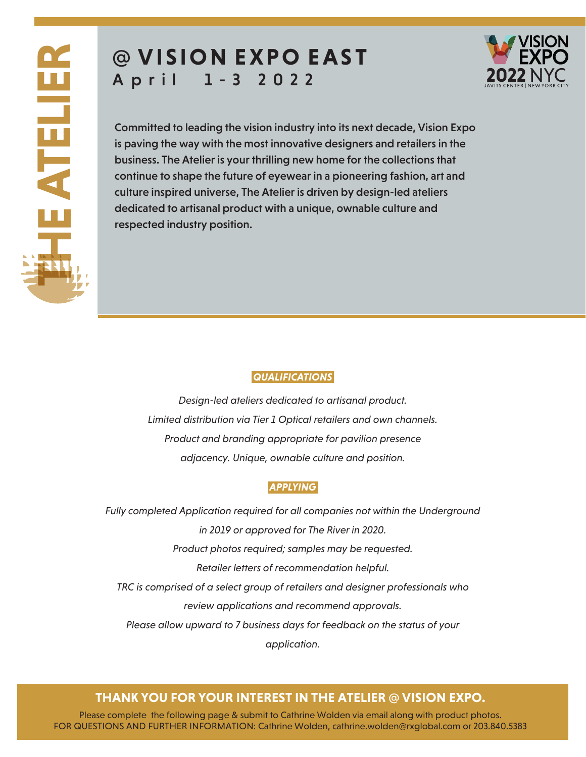# **@ VISION E XP O EAS T** A p r i l 1 - 3 2 0 2 2



Committed to leading the vision industry into its next decade, Vision Expo is paving the way with the most innovative designers and retailers in the business. The Atelier is your thrilling new home for the collections that continue to shape the future of eyewear in a pioneering fashion, art and culture inspired universe, The Atelier is driven by design-led ateliers dedicated to artisanal product with a unique, ownable culture and respected industry position.

### *QUALIFICATIONS*

*Design-led ateliers dedicated to artisanal product. Limited distribution via Tier 1 Optical retailers and own channels. Product and branding appropriate for pavilion presence adjacency. Unique, ownable culture and position.* 

#### *APPLYING*

*Fully completed Application required for all companies not within the Underground in 2019 or approved for The River in 2020. Product photos required; samples may be requested. Retailer letters of recommendation helpful. TRC is comprised of a select group of retailers and designer professionals who review applications and recommend approvals. Please allow upward to 7 business days for feedback on the status of your application.*

# **THANK YOU FOR YOUR INTEREST IN THE ATELIER @ VISION EXPO.**

Please complete the following page & submit to Cathrine Wolden via email along with product photos. FOR QUESTIONS AND FURTHER INFORMATION: Cathrine Wolden, cathrine.wolden@rxglobal.com or 203.840.5383